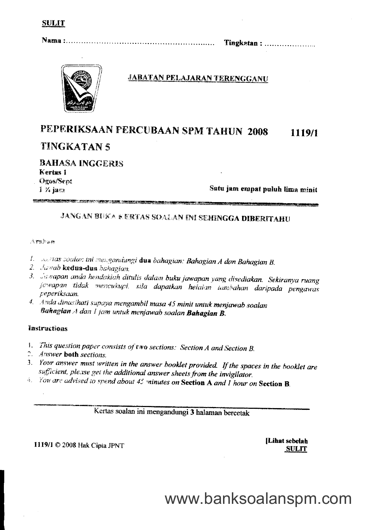Tingkatan: ......................



# **JABATAN PELAJARAN TERENGGANU**

## PEPERIKSAAN PERCUBAAN SPM TAHUN 2008 1119/1

# **TINGKATAN 5**

**BAHASA INGGERIS** Kertas 1 **Ogos/Sept**  $1 \times$  jans

**SANTONICO (MORTIN ANTICO DE SOCIALISTA DE** 

Satu jam empat puluh lima minit

# **JANGAN BUKA KERTAS SOALAN INI SEHINGGA DIBERITAHU**

**The State of Alexander Construction of Alexander Construct** 

## Araban

- 1. A Mas soalan ini mengandungi dua bahagian: Bahagian A dan Bahagian B.
- 2. Jawab kedua-dua bahagian.
- 3. Jawapan anda hendaklah ditulis dalam buku jawapan yang disediakan. Sekiranya ruang jewapan tidak mencukupi, sila dapatkan helaian tambahan daripada pengawas peperiksaan.
- 4. Anda dinasihati supaya mengambil masa 45 minit untuk menjawab soalan Bahagian A dan I jam untuk menjawab soalan Bahagian B.

# Instructions

- 1. This question paper consists of two sections: Section A and Section B.
- 2. Answer both sections.
- 3. Your answer must written in the answer booklet provided. If the spaces in the booklet are sufficient, please get the additional answer sheets from the invigilator.
- 4. You are advised to spend about 45 minutes on Section A and I hour on Section B.

Kertas soalan ini mengandungi 3 halaman bercetak

# 1119/1 © 2008 Hak Cipta JPNT

[Lihat sebelah **SULIT** 

www.banksoalanspm.com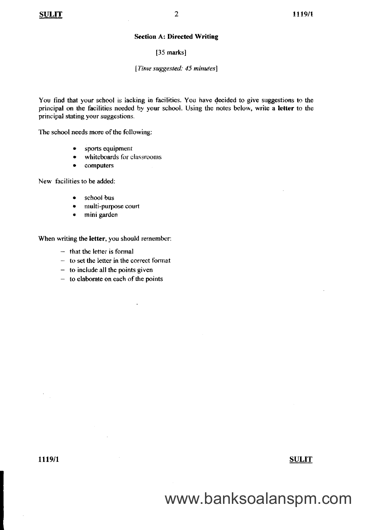#### **Section A: Directed Writing**

#### [35 marks]

#### [Time suggested: 45 minutes]

You find that your school is lacking in facilities. You have decided to give suggestions to the principal on the facilities needed by your school. Using the notes below, write a letter to the principal stating your suggestions.

The school needs more of the following:

- sports equipment
- whiteboards for classrooms
- $\bullet$ computers

New facilities to be added:

- school bus  $\bullet$
- multi-purpose court
- mini garden  $\bullet$

When writing the letter, you should remember:

 $-$  that the letter is formal

 $\mathcal{A}$ 

 $-$  to set the letter in the correct format

 $\mathbf{u}$ 

- $-$  to include all the points given
- $-$  to elaborate on each of the points

## **SULIT**

www.banksoalanspm.com

# 1119/1